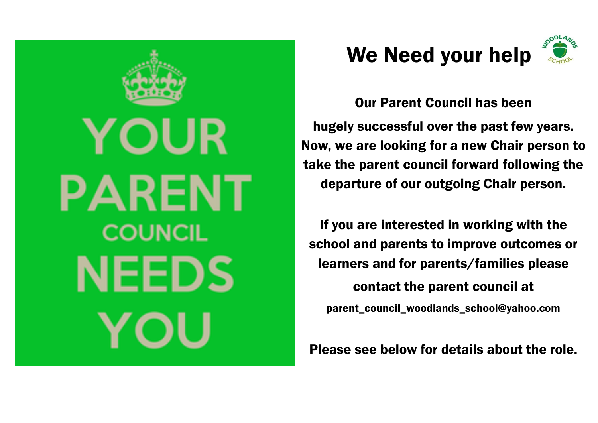



Our Parent Council has been hugely successful over the past few years. Now, we are looking for a new Chair person to take the parent council forward following the departure of our outgoing Chair person.

If you are interested in working with the school and parents to improve outcomes or learners and for parents/families please contact the parent council at parent\_council\_woodlands\_school@yahoo.com

Please see below for details about the role.